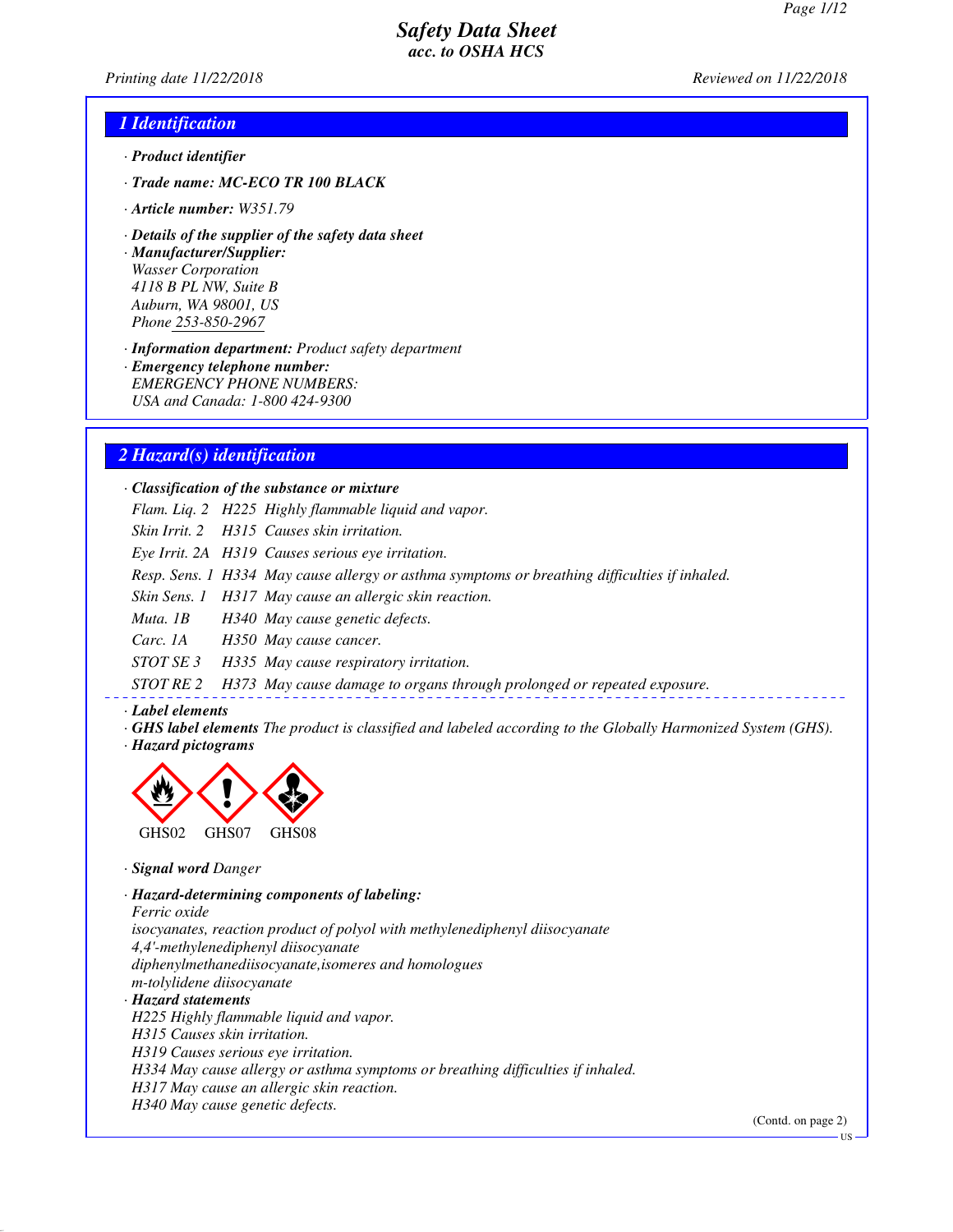*Printing date 11/22/2018 Reviewed on 11/22/2018*

#### *1 Identification*

- *· Product identifier*
- *· Trade name: MC-ECO TR 100 BLACK*
- *· Article number: W351.79*
- *· Details of the supplier of the safety data sheet*

*· Manufacturer/Supplier: Wasser Corporation 4118 B PL NW, Suite B Auburn, WA 98001, US Phone 253-850-2967*

*· Information department: Product safety department*

*· Emergency telephone number: EMERGENCY PHONE NUMBERS: USA and Canada: 1-800 424-9300*

#### *2 Hazard(s) identification*

#### *· Classification of the substance or mixture*

*Flam. Liq. 2 H225 Highly flammable liquid and vapor.*

*Skin Irrit. 2 H315 Causes skin irritation.*

*Eye Irrit. 2A H319 Causes serious eye irritation.*

*Resp. Sens. 1 H334 May cause allergy or asthma symptoms or breathing difficulties if inhaled.*

*Skin Sens. 1 H317 May cause an allergic skin reaction.*

*Muta. 1B H340 May cause genetic defects.*

*Carc. 1A H350 May cause cancer.*

*STOT SE 3 H335 May cause respiratory irritation.*

*STOT RE 2 H373 May cause damage to organs through prolonged or repeated exposure.*

#### *· Label elements*

- *· GHS label elements The product is classified and labeled according to the Globally Harmonized System (GHS).*
- *· Hazard pictograms*



*· Signal word Danger*

*· Hazard-determining components of labeling: Ferric oxide*

*isocyanates, reaction product of polyol with methylenediphenyl diisocyanate 4,4'-methylenediphenyl diisocyanate*

*diphenylmethanediisocyanate,isomeres and homologues*

*m-tolylidene diisocyanate*

*· Hazard statements*

*H225 Highly flammable liquid and vapor.*

*H315 Causes skin irritation.*

*H319 Causes serious eye irritation.*

*H334 May cause allergy or asthma symptoms or breathing difficulties if inhaled.*

*H317 May cause an allergic skin reaction.*

*H340 May cause genetic defects.*

(Contd. on page 2)

US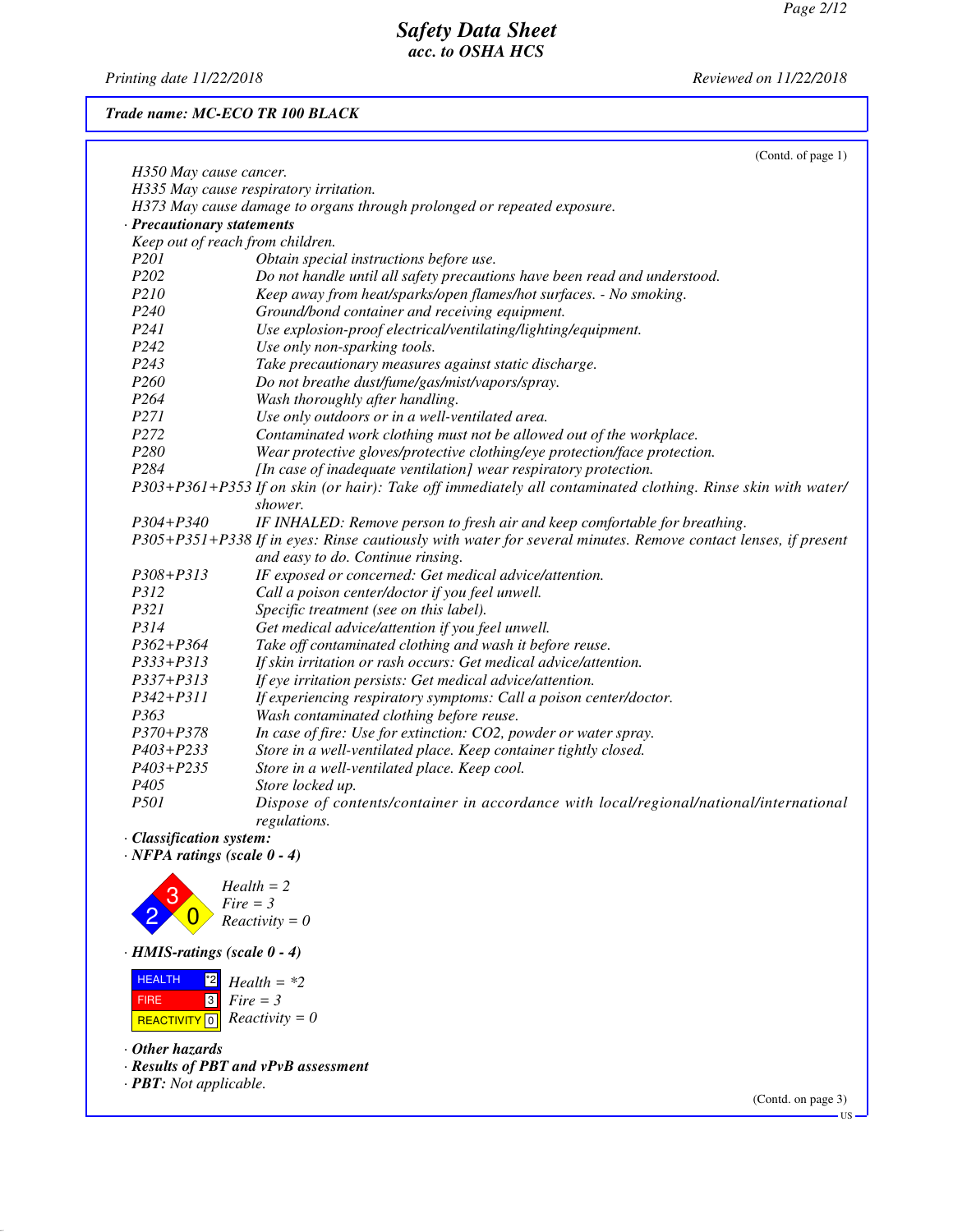*Printing date 11/22/2018 Reviewed on 11/22/2018*

#### *Trade name: MC-ECO TR 100 BLACK*

|                                       | (Contd. of page 1)                                                                                            |
|---------------------------------------|---------------------------------------------------------------------------------------------------------------|
| H350 May cause cancer.                |                                                                                                               |
|                                       | H335 May cause respiratory irritation.                                                                        |
|                                       | H373 May cause damage to organs through prolonged or repeated exposure.                                       |
| · Precautionary statements            |                                                                                                               |
| Keep out of reach from children.      |                                                                                                               |
| <i>P201</i>                           | Obtain special instructions before use.                                                                       |
| P <sub>202</sub>                      | Do not handle until all safety precautions have been read and understood.                                     |
| P210                                  | Keep away from heat/sparks/open flames/hot surfaces. - No smoking.                                            |
| P <sub>240</sub>                      | Ground/bond container and receiving equipment.                                                                |
| P <sub>24</sub> 1                     | Use explosion-proof electrical/ventilating/lighting/equipment.                                                |
| P242                                  | Use only non-sparking tools.                                                                                  |
| P <sub>243</sub>                      | Take precautionary measures against static discharge.                                                         |
| P <sub>260</sub>                      | Do not breathe dust/fume/gas/mist/vapors/spray.                                                               |
| P264                                  | Wash thoroughly after handling.                                                                               |
| P271                                  | Use only outdoors or in a well-ventilated area.                                                               |
| P272                                  | Contaminated work clothing must not be allowed out of the workplace.                                          |
| P280                                  | Wear protective gloves/protective clothing/eye protection/face protection.                                    |
| P <sub>284</sub>                      | [In case of inadequate ventilation] wear respiratory protection.                                              |
|                                       | P303+P361+P353 If on skin (or hair): Take off immediately all contaminated clothing. Rinse skin with water/   |
|                                       | shower.                                                                                                       |
| $P304 + P340$                         | IF INHALED: Remove person to fresh air and keep comfortable for breathing.                                    |
|                                       | P305+P351+P338 If in eyes: Rinse cautiously with water for several minutes. Remove contact lenses, if present |
|                                       | and easy to do. Continue rinsing.                                                                             |
| $P308 + P313$                         | IF exposed or concerned: Get medical advice/attention.                                                        |
| P312                                  | Call a poison center/doctor if you feel unwell.                                                               |
| P321                                  | Specific treatment (see on this label).                                                                       |
| P314                                  | Get medical advice/attention if you feel unwell.                                                              |
| $P362 + P364$                         | Take off contaminated clothing and wash it before reuse.                                                      |
| $P333 + P313$                         | If skin irritation or rash occurs: Get medical advice/attention.                                              |
| $P337 + P313$                         | If eye irritation persists: Get medical advice/attention.                                                     |
| $P342 + P311$                         | If experiencing respiratory symptoms: Call a poison center/doctor.                                            |
| P363                                  | Wash contaminated clothing before reuse.                                                                      |
| $P370 + P378$                         | In case of fire: Use for extinction: CO2, powder or water spray.                                              |
| P403+P233                             | Store in a well-ventilated place. Keep container tightly closed.                                              |
| P403+P235                             | Store in a well-ventilated place. Keep cool.                                                                  |
| P <sub>405</sub>                      | Store locked up.                                                                                              |
| <i>P501</i>                           | Dispose of contents/container in accordance with local/regional/national/international                        |
|                                       | regulations.                                                                                                  |
| · Classification system:              |                                                                                                               |
| $\cdot$ NFPA ratings (scale $0 - 4$ ) |                                                                                                               |
|                                       |                                                                                                               |
| 3                                     | $Health = 2$<br>$E_{inc} = 2$                                                                                 |



*· HMIS-ratings (scale 0 - 4)*



*· Other hazards*

*· Results of PBT and vPvB assessment*

*· PBT: Not applicable.*

(Contd. on page 3)

US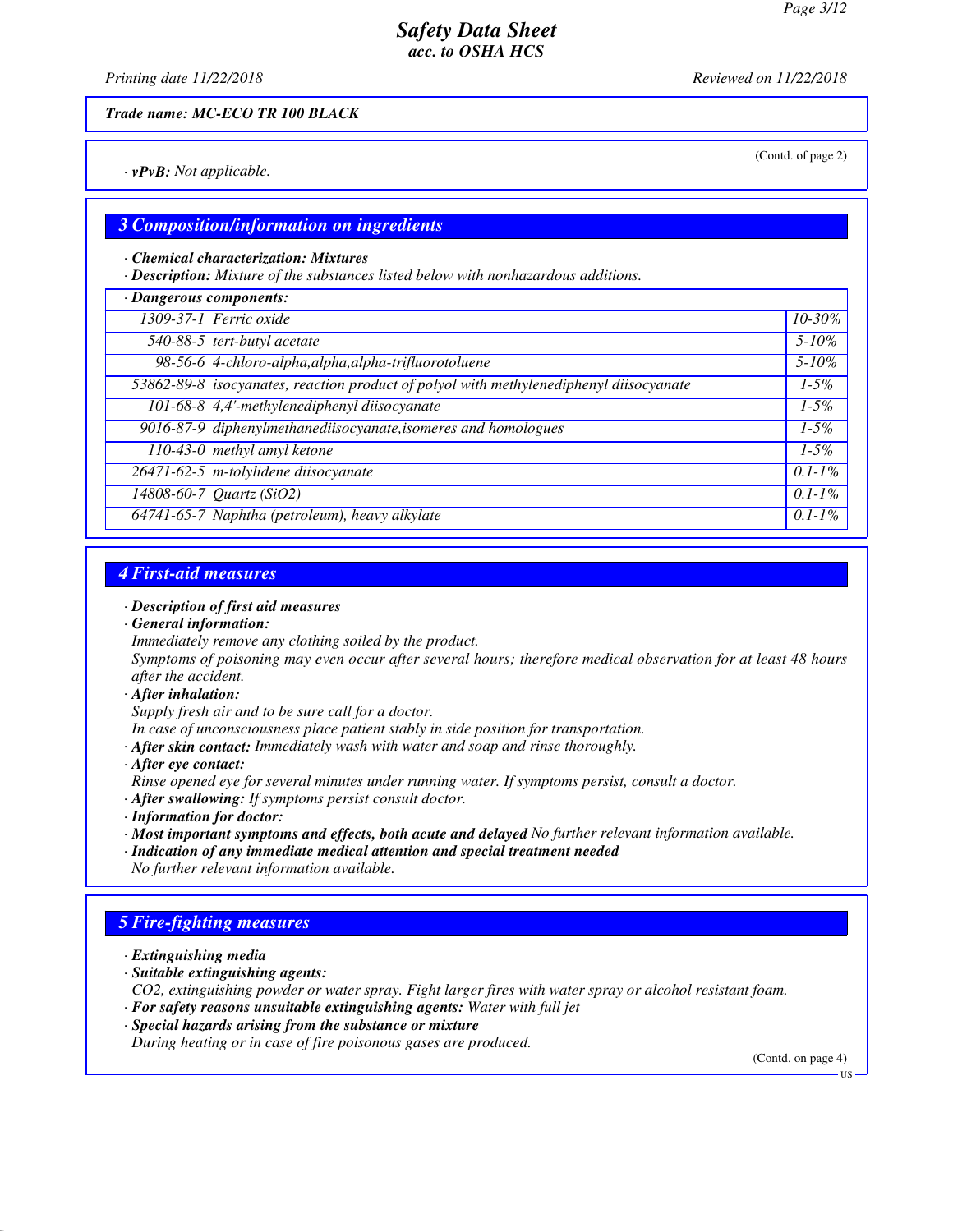(Contd. of page 2)

## *Safety Data Sheet acc. to OSHA HCS*

*Printing date 11/22/2018 Reviewed on 11/22/2018*

*Trade name: MC-ECO TR 100 BLACK*

*· vPvB: Not applicable.*

#### *3 Composition/information on ingredients*

#### *· Chemical characterization: Mixtures*

*· Description: Mixture of the substances listed below with nonhazardous additions.*

| · Dangerous components: |                                                                                        |             |
|-------------------------|----------------------------------------------------------------------------------------|-------------|
|                         | 1309-37-1 Ferric oxide                                                                 | 10-30%      |
|                         | 540-88-5 tert-butyl acetate                                                            | $5 - 10\%$  |
|                         | 98-56-6 4-chloro-alpha, alpha, alpha-trifluorotoluene                                  | $5 - 10\%$  |
|                         | 53862-89-8 isocyanates, reaction product of polyol with methylenediphenyl diisocyanate | $1 - 5\%$   |
|                         | $101-68-8$ 4,4'-methylenediphenyl diisocyanate                                         | $1 - 5\%$   |
|                         | 9016-87-9 diphenylmethanediisocyanate, isomeres and homologues                         | $1 - 5\%$   |
|                         | 110-43-0 methyl amyl ketone                                                            | $1 - 5\%$   |
|                         | 26471-62-5 m-tolylidene diisocyanate                                                   | $0.1 - 1\%$ |
|                         | $14808 - 60 - 7$ <i>Quartz</i> (SiO2)                                                  | $0.1 - 1\%$ |
|                         | 64741-65-7 Naphtha (petroleum), heavy alkylate                                         | $0.1 - 1\%$ |

### *4 First-aid measures*

#### *· Description of first aid measures*

*· General information:*

*Immediately remove any clothing soiled by the product.*

*Symptoms of poisoning may even occur after several hours; therefore medical observation for at least 48 hours after the accident.*

*· After inhalation:*

*Supply fresh air and to be sure call for a doctor.*

*In case of unconsciousness place patient stably in side position for transportation.*

*· After skin contact: Immediately wash with water and soap and rinse thoroughly.*

*· After eye contact:*

*Rinse opened eye for several minutes under running water. If symptoms persist, consult a doctor.*

- *· After swallowing: If symptoms persist consult doctor.*
- *· Information for doctor:*
- *· Most important symptoms and effects, both acute and delayed No further relevant information available.*
- *· Indication of any immediate medical attention and special treatment needed No further relevant information available.*

#### *5 Fire-fighting measures*

- *· Extinguishing media*
- *· Suitable extinguishing agents:*

*CO2, extinguishing powder or water spray. Fight larger fires with water spray or alcohol resistant foam.*

- *· For safety reasons unsuitable extinguishing agents: Water with full jet*
- *· Special hazards arising from the substance or mixture*

*During heating or in case of fire poisonous gases are produced.*

(Contd. on page 4)

US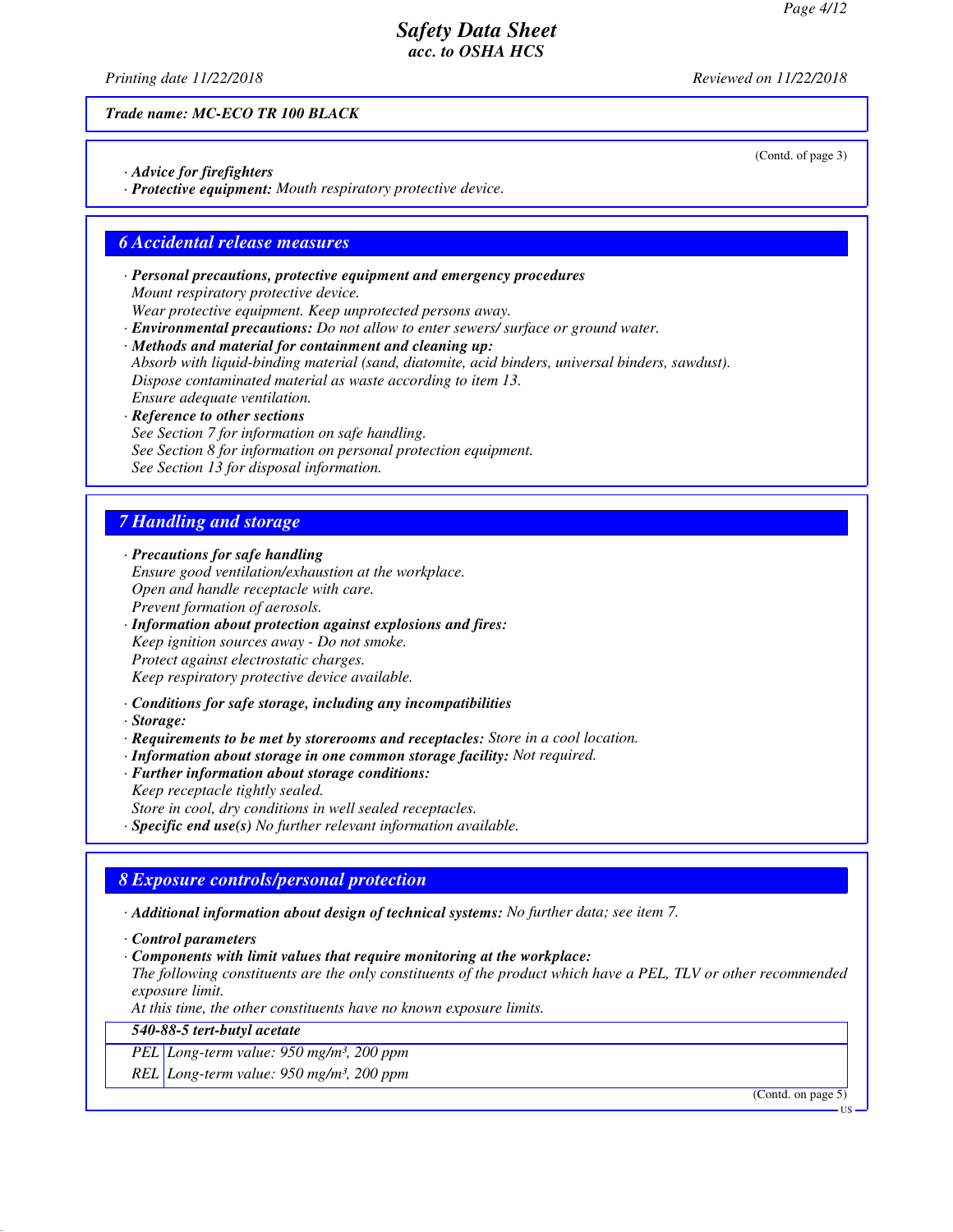(Contd. of page 3)

## *Safety Data Sheet acc. to OSHA HCS*

*Printing date 11/22/2018 Reviewed on 11/22/2018*

*Trade name: MC-ECO TR 100 BLACK*

- *· Advice for firefighters*
- *· Protective equipment: Mouth respiratory protective device.*

#### *6 Accidental release measures*

- *· Personal precautions, protective equipment and emergency procedures Mount respiratory protective device.*
- *Wear protective equipment. Keep unprotected persons away. · Environmental precautions: Do not allow to enter sewers/ surface or ground water.*
- *· Methods and material for containment and cleaning up:*
- *Absorb with liquid-binding material (sand, diatomite, acid binders, universal binders, sawdust). Dispose contaminated material as waste according to item 13. Ensure adequate ventilation.*
- *· Reference to other sections See Section 7 for information on safe handling. See Section 8 for information on personal protection equipment. See Section 13 for disposal information.*

## *7 Handling and storage*

*· Precautions for safe handling Ensure good ventilation/exhaustion at the workplace. Open and handle receptacle with care. Prevent formation of aerosols.*

- *· Information about protection against explosions and fires: Keep ignition sources away - Do not smoke. Protect against electrostatic charges. Keep respiratory protective device available.*
- *· Conditions for safe storage, including any incompatibilities*
- *· Storage:*
- *· Requirements to be met by storerooms and receptacles: Store in a cool location.*
- *· Information about storage in one common storage facility: Not required.*
- *· Further information about storage conditions: Keep receptacle tightly sealed. Store in cool, dry conditions in well sealed receptacles. · Specific end use(s) No further relevant information available.*

### *8 Exposure controls/personal protection*

*· Additional information about design of technical systems: No further data; see item 7.*

- *· Control parameters*
- *· Components with limit values that require monitoring at the workplace:*
- *The following constituents are the only constituents of the product which have a PEL, TLV or other recommended exposure limit.*

*At this time, the other constituents have no known exposure limits.*

#### *540-88-5 tert-butyl acetate*

*PEL Long-term value: 950 mg/m³, 200 ppm*

*REL Long-term value: 950 mg/m³, 200 ppm*

(Contd. on page 5)

US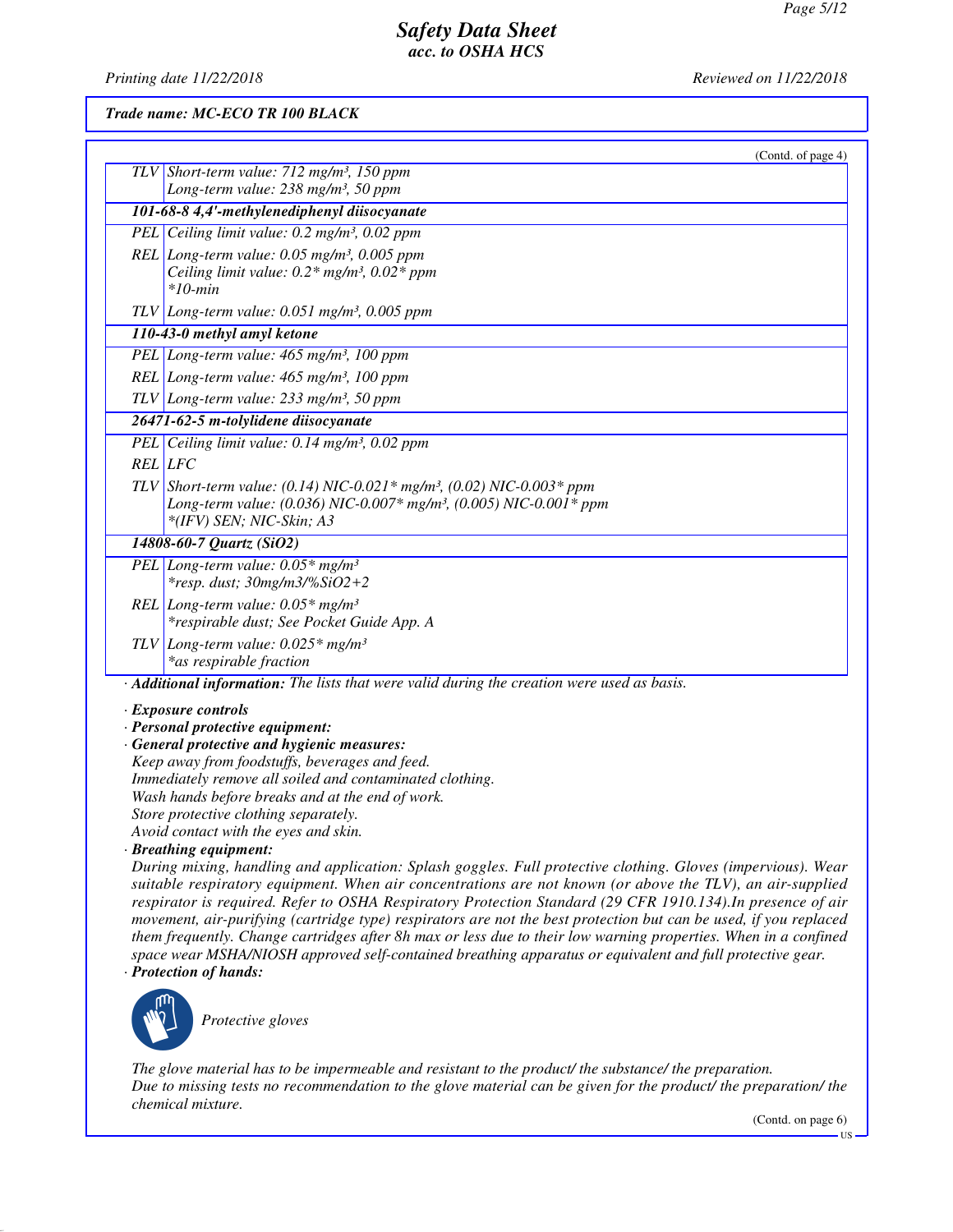*Printing date 11/22/2018 Reviewed on 11/22/2018*

*Trade name: MC-ECO TR 100 BLACK*

| (Contd. of page 4)                                                                                         |
|------------------------------------------------------------------------------------------------------------|
| TLV Short-term value: $712$ mg/m <sup>3</sup> , 150 ppm                                                    |
| Long-term value: 238 mg/m <sup>3</sup> , 50 ppm                                                            |
| 101-68-8 4,4'-methylenediphenyl diisocyanate                                                               |
| PEL Ceiling limit value: $0.2 \text{ mg/m}^3$ , $0.02 \text{ ppm}$                                         |
| REL Long-term value: $0.05$ mg/m <sup>3</sup> , $0.005$ ppm                                                |
| Ceiling limit value: $0.2*$ mg/m <sup>3</sup> , $0.02*$ ppm                                                |
| $*10$ -min                                                                                                 |
| $TLV$ Long-term value: 0.051 mg/m <sup>3</sup> , 0.005 ppm                                                 |
| 110-43-0 methyl amyl ketone                                                                                |
| PEL Long-term value: 465 mg/m <sup>3</sup> , 100 ppm                                                       |
| REL Long-term value: 465 mg/m <sup>3</sup> , 100 ppm                                                       |
| $TLV$ Long-term value: 233 mg/m <sup>3</sup> , 50 ppm                                                      |
| 26471-62-5 m-tolylidene diisocyanate                                                                       |
| PEL Ceiling limit value: 0.14 mg/m <sup>3</sup> , 0.02 ppm                                                 |
| <b>REL</b> LFC                                                                                             |
| TLV Short-term value: (0.14) NIC-0.021* mg/m <sup>3</sup> , (0.02) NIC-0.003* ppm                          |
| Long-term value: (0.036) NIC-0.007* mg/m <sup>3</sup> , (0.005) NIC-0.001* ppm                             |
| *(IFV) SEN; NIC-Skin; A3                                                                                   |
| 14808-60-7 Quartz (SiO2)                                                                                   |
| PEL Long-term value: $0.05*$ mg/m <sup>3</sup>                                                             |
| *resp. dust; 30mg/m3/%SiO2+2                                                                               |
| REL Long-term value: $0.05*$ mg/m <sup>3</sup>                                                             |
| *respirable dust; See Pocket Guide App. A                                                                  |
| TLV Long-term value: $0.025*$ mg/m <sup>3</sup>                                                            |
| *as respirable fraction                                                                                    |
| · Additional information: The lists that were valid during the creation were used as basis.                |
| · Exposure controls                                                                                        |
| · Personal protective equipment:                                                                           |
| · General protective and hygienic measures:                                                                |
| Keep away from foodstuffs, beverages and feed.<br>Immediately remove all soiled and contaminated clothing. |
| Wash hands before breaks and at the end of work.                                                           |
| Store protective clothing separately.                                                                      |
| Avoid contact with the eyes and skin.                                                                      |

*· Breathing equipment:*

*During mixing, handling and application: Splash goggles. Full protective clothing. Gloves (impervious). Wear suitable respiratory equipment. When air concentrations are not known (or above the TLV), an air-supplied respirator is required. Refer to OSHA Respiratory Protection Standard (29 CFR 1910.134).In presence of air movement, air-purifying (cartridge type) respirators are not the best protection but can be used, if you replaced them frequently. Change cartridges after 8h max or less due to their low warning properties. When in a confined space wear MSHA/NIOSH approved self-contained breathing apparatus or equivalent and full protective gear.*

*· Protection of hands:*



\_S*Protective gloves*

*The glove material has to be impermeable and resistant to the product/ the substance/ the preparation. Due to missing tests no recommendation to the glove material can be given for the product/ the preparation/ the chemical mixture.*

(Contd. on page 6)

US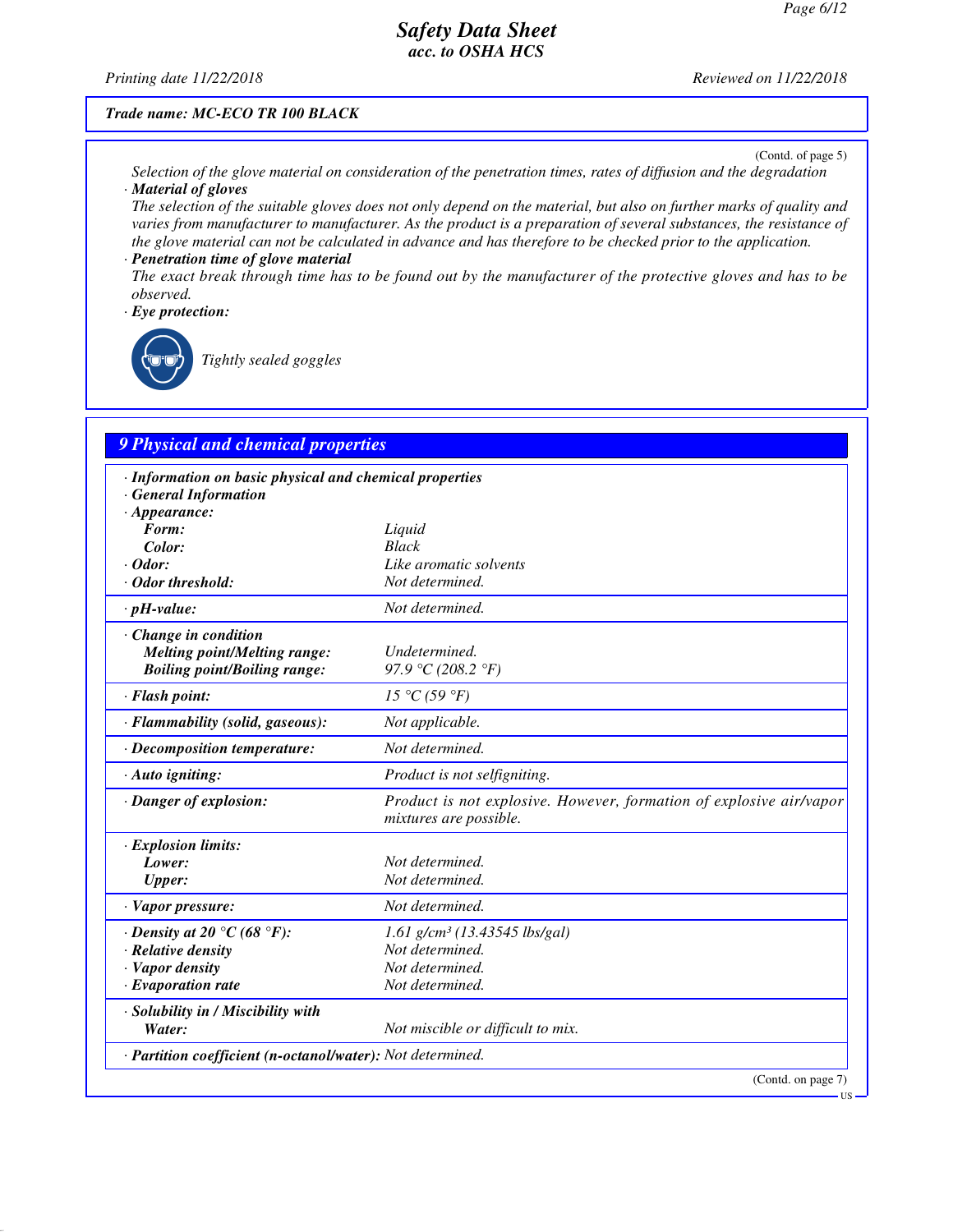#### *Printing date 11/22/2018 Reviewed on 11/22/2018*

#### *Trade name: MC-ECO TR 100 BLACK*

(Contd. of page 5)

US

- *Selection of the glove material on consideration of the penetration times, rates of diffusion and the degradation · Material of gloves*
- *The selection of the suitable gloves does not only depend on the material, but also on further marks of quality and varies from manufacturer to manufacturer. As the product is a preparation of several substances, the resistance of the glove material can not be calculated in advance and has therefore to be checked prior to the application. · Penetration time of glove material*
- *The exact break through time has to be found out by the manufacturer of the protective gloves and has to be observed.*
- *· Eye protection:*

\_R*Tightly sealed goggles*

## *9 Physical and chemical properties*

| · Information on basic physical and chemical properties<br>· General Information |                                                                                               |
|----------------------------------------------------------------------------------|-----------------------------------------------------------------------------------------------|
| $\cdot$ Appearance:                                                              |                                                                                               |
| Form:                                                                            | Liquid                                                                                        |
| Color:                                                                           | <b>Black</b>                                                                                  |
| $\cdot$ Odor:                                                                    | Like aromatic solvents                                                                        |
| · Odor threshold:                                                                | Not determined.                                                                               |
| $\cdot$ pH-value:                                                                | Not determined.                                                                               |
| · Change in condition                                                            |                                                                                               |
| <b>Melting point/Melting range:</b>                                              | Undetermined.                                                                                 |
| <b>Boiling point/Boiling range:</b>                                              | 97.9 °C (208.2 °F)                                                                            |
| $\cdot$ Flash point:                                                             | 15 °C (59 °F)                                                                                 |
| · Flammability (solid, gaseous):                                                 | Not applicable.                                                                               |
| $\cdot$ Decomposition temperature:                                               | Not determined.                                                                               |
| $\cdot$ Auto igniting:                                                           | Product is not selfigniting.                                                                  |
| · Danger of explosion:                                                           | Product is not explosive. However, formation of explosive air/vapor<br>mixtures are possible. |
| $\cdot$ Explosion limits:                                                        |                                                                                               |
| Lower:                                                                           | Not determined.                                                                               |
| <b>Upper:</b>                                                                    | Not determined.                                                                               |
| $\cdot$ Vapor pressure:                                                          | Not determined.                                                                               |
| $\cdot$ Density at 20 $\degree$ C (68 $\degree$ F):                              | 1.61 g/cm <sup>3</sup> (13.43545 lbs/gal)                                                     |
| · Relative density                                                               | Not determined.                                                                               |
| · Vapor density                                                                  | Not determined.                                                                               |
| $\cdot$ Evaporation rate                                                         | Not determined.                                                                               |
| · Solubility in / Miscibility with                                               |                                                                                               |
| Water:                                                                           | Not miscible or difficult to mix.                                                             |
| · Partition coefficient (n-octanol/water): Not determined.                       |                                                                                               |
|                                                                                  | (Contd. on page 7)                                                                            |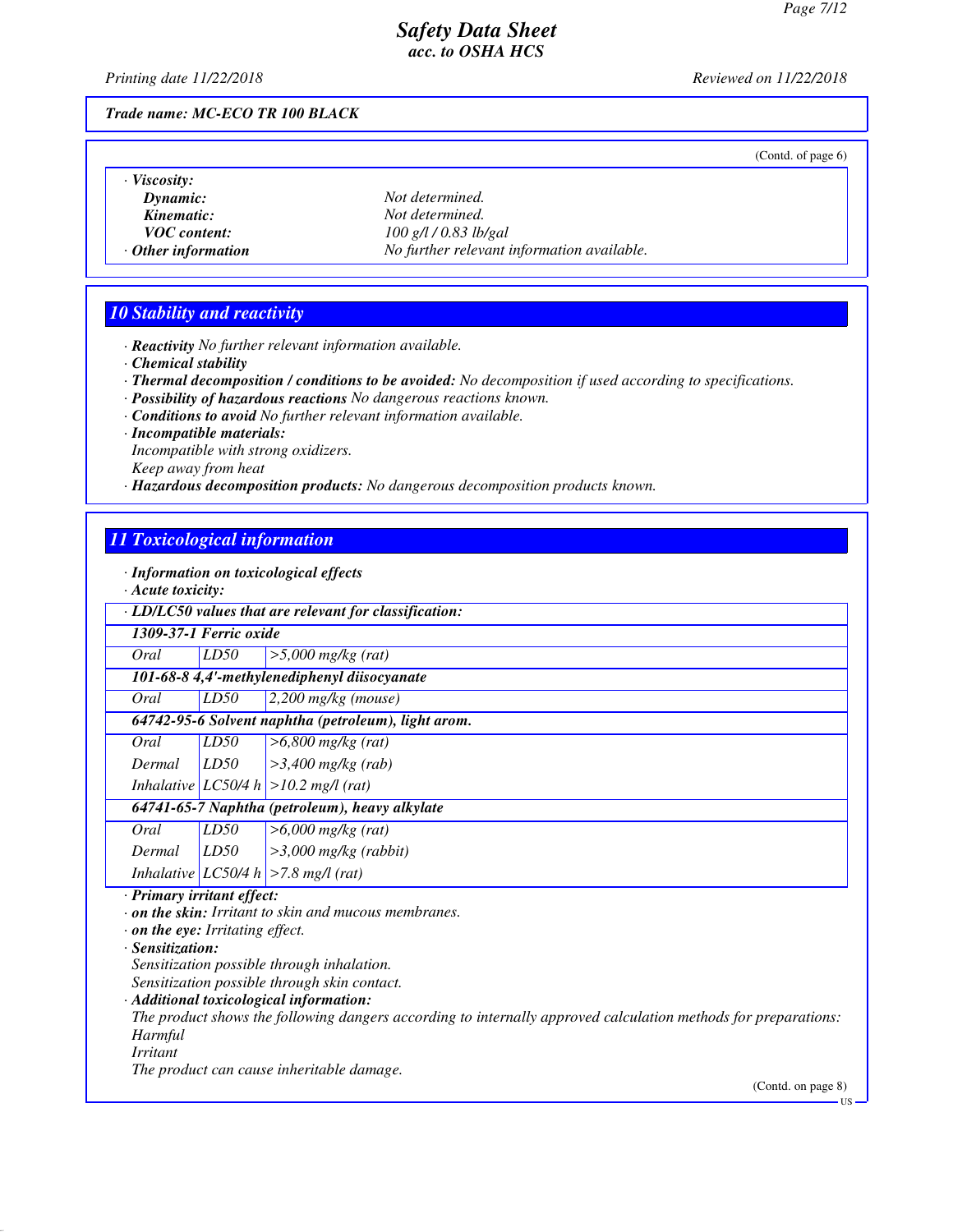*Printing date 11/22/2018 Reviewed on 11/22/2018*

 $\mathbf{L}$ 

*Trade name: MC-ECO TR 100 BLACK*

|  | (Contd. of page 6) |  |
|--|--------------------|--|
|--|--------------------|--|

| Viscosity:                |                                            |
|---------------------------|--------------------------------------------|
| $D$ <i>vnamic</i> :       | Not determined.                            |
| Kinematic:                | Not determined.                            |
| <i>VOC</i> content:       | $100$ g/l $/ 0.83$ lb/gal                  |
| $\cdot$ Other information | No further relevant information available. |

# *10 Stability and reactivity*

*· Reactivity No further relevant information available.*

- *· Chemical stability*
- *· Thermal decomposition / conditions to be avoided: No decomposition if used according to specifications.*
- *· Possibility of hazardous reactions No dangerous reactions known.*
- *· Conditions to avoid No further relevant information available.*
- *· Incompatible materials:*

*Incompatible with strong oxidizers.*

*Keep away from heat*

*· Hazardous decomposition products: No dangerous decomposition products known.*

## *11 Toxicological information*

*· Information on toxicological effects*

|  |  | $\cdot$ Acute toxicity: |
|--|--|-------------------------|
|--|--|-------------------------|

| zican novuchy.                                                                                                         |                        |                                                                                                                                                                                                                                                                                                                                                                     |
|------------------------------------------------------------------------------------------------------------------------|------------------------|---------------------------------------------------------------------------------------------------------------------------------------------------------------------------------------------------------------------------------------------------------------------------------------------------------------------------------------------------------------------|
|                                                                                                                        |                        | · LD/LC50 values that are relevant for classification:                                                                                                                                                                                                                                                                                                              |
|                                                                                                                        | 1309-37-1 Ferric oxide |                                                                                                                                                                                                                                                                                                                                                                     |
| Oral                                                                                                                   | LD50                   | $>5,000$ mg/kg (rat)                                                                                                                                                                                                                                                                                                                                                |
|                                                                                                                        |                        | 101-68-8 4,4'-methylenediphenyl diisocyanate                                                                                                                                                                                                                                                                                                                        |
| Oral                                                                                                                   | LD50                   | $2,200$ mg/kg (mouse)                                                                                                                                                                                                                                                                                                                                               |
|                                                                                                                        |                        | 64742-95-6 Solvent naphtha (petroleum), light arom.                                                                                                                                                                                                                                                                                                                 |
| Oral                                                                                                                   | LD50                   | $>6,800$ mg/kg (rat)                                                                                                                                                                                                                                                                                                                                                |
| Dermal                                                                                                                 | LD50                   | $>3,400$ mg/kg (rab)                                                                                                                                                                                                                                                                                                                                                |
|                                                                                                                        |                        | Inhalative $ LC50/4 h  > 10.2$ mg/l (rat)                                                                                                                                                                                                                                                                                                                           |
|                                                                                                                        |                        | 64741-65-7 Naphtha (petroleum), heavy alkylate                                                                                                                                                                                                                                                                                                                      |
| Oral                                                                                                                   | LD50                   | $>6,000$ mg/kg (rat)                                                                                                                                                                                                                                                                                                                                                |
| Dermal                                                                                                                 | LD50                   | $>3,000$ mg/kg (rabbit)                                                                                                                                                                                                                                                                                                                                             |
|                                                                                                                        |                        | Inhalative $ LC50/4 h  > 7.8$ mg/l (rat)                                                                                                                                                                                                                                                                                                                            |
| · Primary irritant effect:<br>$\cdot$ on the eye: Irritating effect.<br>· Sensitization:<br>Harmful<br><i>Irritant</i> |                        | $\cdot$ on the skin: Irritant to skin and mucous membranes.<br>Sensitization possible through inhalation.<br>Sensitization possible through skin contact.<br>· Additional toxicological information:<br>The product shows the following dangers according to internally approved calculation methods for preparations:<br>The product can cause inheritable damage. |
|                                                                                                                        |                        | (Contd. on page 8)                                                                                                                                                                                                                                                                                                                                                  |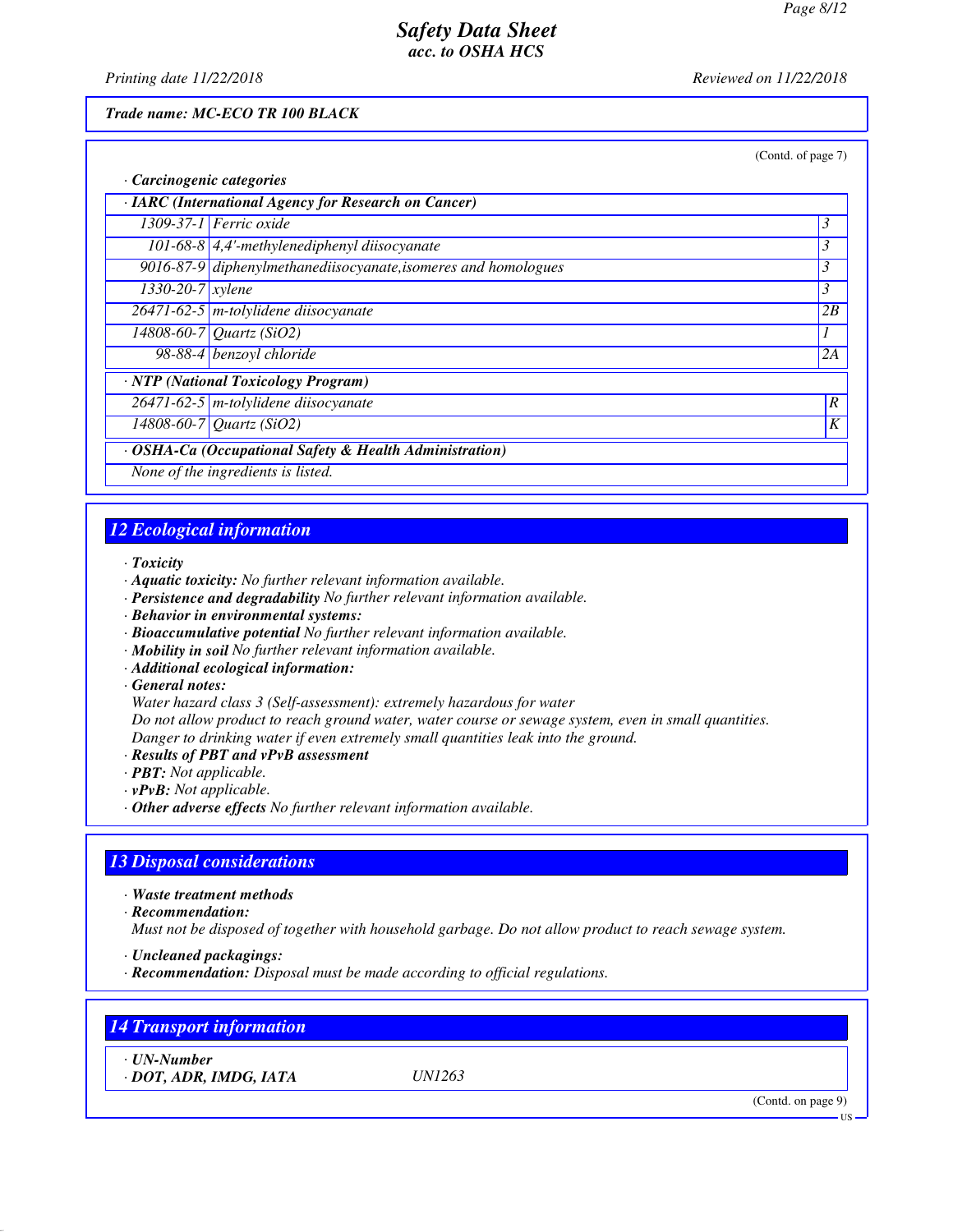*Printing date 11/22/2018 Reviewed on 11/22/2018*

#### *Trade name: MC-ECO TR 100 BLACK*

|                                                         |                                                                | (Contd. of page 7) |  |
|---------------------------------------------------------|----------------------------------------------------------------|--------------------|--|
| · Carcinogenic categories                               |                                                                |                    |  |
|                                                         | · IARC (International Agency for Research on Cancer)           |                    |  |
|                                                         | 1309-37-1 Ferric oxide                                         | $\mathfrak{Z}$     |  |
|                                                         | 101-68-8 $\vert$ 4,4'-methylenediphenyl diisocyanate           | 3                  |  |
|                                                         | 9016-87-9 diphenylmethanediisocyanate, isomeres and homologues | 3                  |  |
| $1330 - 20 - 7$ <i>xylene</i>                           |                                                                | 3                  |  |
|                                                         | $26471 - 62 - 5$ m-tolylidene diisocyanate                     | 2B                 |  |
|                                                         | 14808-60-7 Quartz (SiO2)                                       | 1                  |  |
|                                                         | 98-88-4 benzoyl chloride                                       | 2A                 |  |
|                                                         | · NTP (National Toxicology Program)                            |                    |  |
|                                                         | $26471 - 62 - 5$ m-tolylidene diisocyanate                     | $\boldsymbol{R}$   |  |
|                                                         | 14808-60-7 Quartz (SiO2)                                       | K                  |  |
| · OSHA-Ca (Occupational Safety & Health Administration) |                                                                |                    |  |
|                                                         | None of the ingredients is listed.                             |                    |  |

# *12 Ecological information*

*· Toxicity*

- *· Aquatic toxicity: No further relevant information available.*
- *· Persistence and degradability No further relevant information available.*
- *· Behavior in environmental systems:*
- *· Bioaccumulative potential No further relevant information available.*
- *· Mobility in soil No further relevant information available.*
- *· Additional ecological information:*

*· General notes:*

*Water hazard class 3 (Self-assessment): extremely hazardous for water*

*Do not allow product to reach ground water, water course or sewage system, even in small quantities. Danger to drinking water if even extremely small quantities leak into the ground.*

- *· Results of PBT and vPvB assessment*
- *· PBT: Not applicable.*
- *· vPvB: Not applicable.*
- *· Other adverse effects No further relevant information available.*

# *13 Disposal considerations*

*· Waste treatment methods*

*· Recommendation:*

*Must not be disposed of together with household garbage. Do not allow product to reach sewage system.*

*· Uncleaned packagings:*

*· Recommendation: Disposal must be made according to official regulations.*

| <b>14 Transport information</b>             |               |                              |
|---------------------------------------------|---------------|------------------------------|
| $\cdot$ UN-Number<br>· DOT, ADR, IMDG, IATA | <i>UN1263</i> |                              |
|                                             |               | (Contd. on page 9)<br>$US -$ |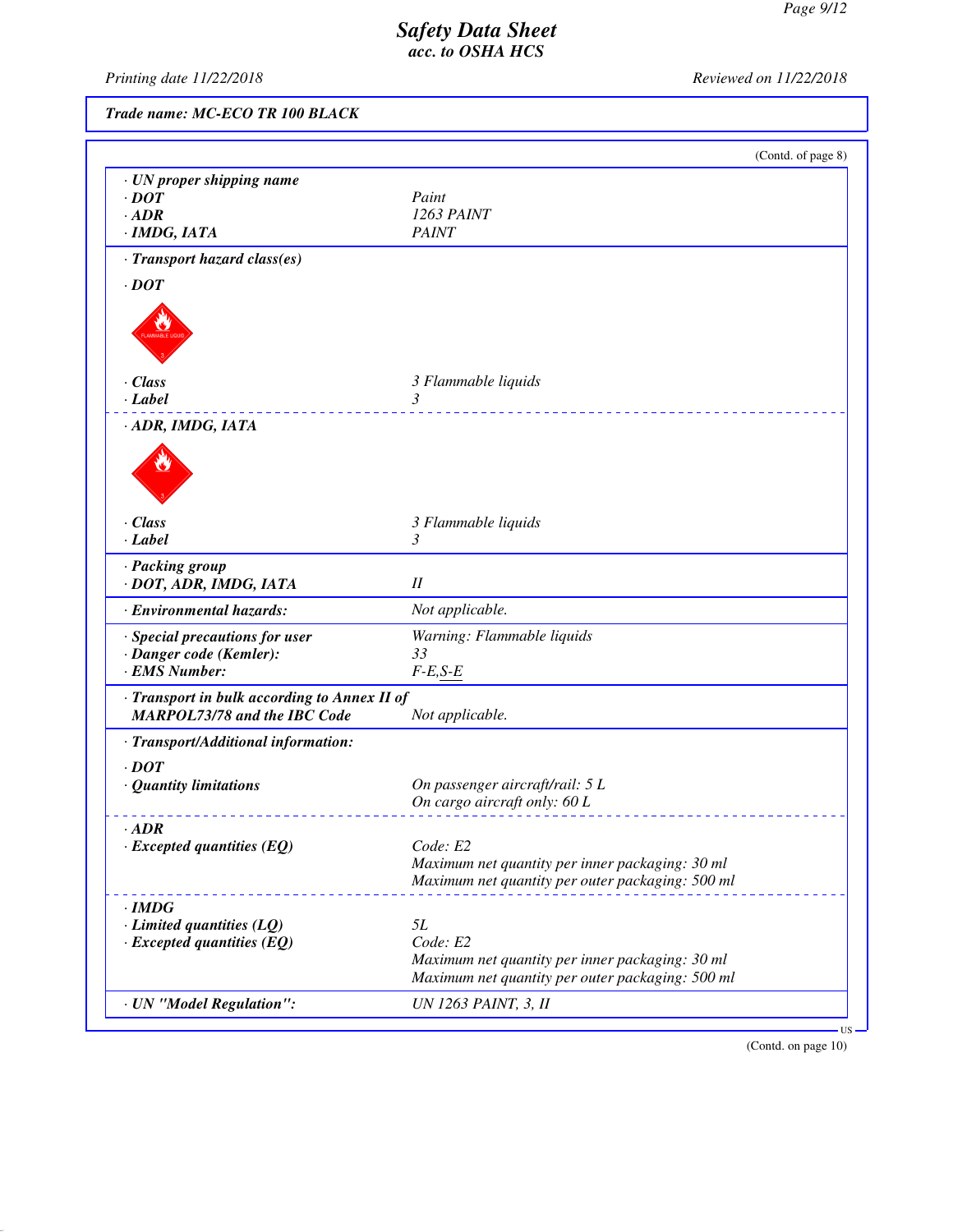*Printing date 11/22/2018 Reviewed on 11/22/2018*

*Trade name: MC-ECO TR 100 BLACK*

|                                              | (Contd. of page 8)                               |
|----------------------------------------------|--------------------------------------------------|
| · UN proper shipping name                    |                                                  |
| $\cdot$ DOT                                  | Paint                                            |
| $\cdot$ ADR                                  | 1263 PAINT                                       |
| $\cdot$ IMDG, IATA                           | <b>PAINT</b>                                     |
| · Transport hazard class(es)                 |                                                  |
| $\cdot$ DOT                                  |                                                  |
|                                              |                                                  |
| $\cdot$ Class<br>$\cdot$ Label               | 3 Flammable liquids<br>3                         |
|                                              | <u>.</u>                                         |
| · ADR, IMDG, IATA                            |                                                  |
|                                              |                                                  |
|                                              |                                                  |
|                                              |                                                  |
| $\cdot$ Class                                | 3 Flammable liquids<br>3                         |
| $\cdot$ Label                                |                                                  |
| · Packing group<br>· DOT, ADR, IMDG, IATA    | $I\!I$                                           |
| · Environmental hazards:                     | Not applicable.                                  |
| · Special precautions for user               | Warning: Flammable liquids                       |
| · Danger code (Kemler):                      | 33                                               |
| · EMS Number:                                | $F-E,S-E$                                        |
| · Transport in bulk according to Annex II of |                                                  |
| <b>MARPOL73/78 and the IBC Code</b>          | Not applicable.                                  |
| · Transport/Additional information:          |                                                  |
| $\cdot$ <i>DOT</i>                           |                                                  |
| · Quantity limitations                       | On passenger aircraft/rail: 5 L                  |
|                                              | On cargo aircraft only: 60 L                     |
| $\cdot$ ADR                                  |                                                  |
| $\cdot$ Excepted quantities (EQ)             | Code: E2                                         |
|                                              | Maximum net quantity per inner packaging: 30 ml  |
|                                              | Maximum net quantity per outer packaging: 500 ml |
| $\cdot$ IMDG                                 |                                                  |
| $\cdot$ Limited quantities (LQ)              | 5L                                               |
| $\cdot$ Excepted quantities (EQ)             | Code: E2                                         |
|                                              | Maximum net quantity per inner packaging: 30 ml  |
|                                              | Maximum net quantity per outer packaging: 500 ml |
|                                              |                                                  |

(Contd. on page 10)

US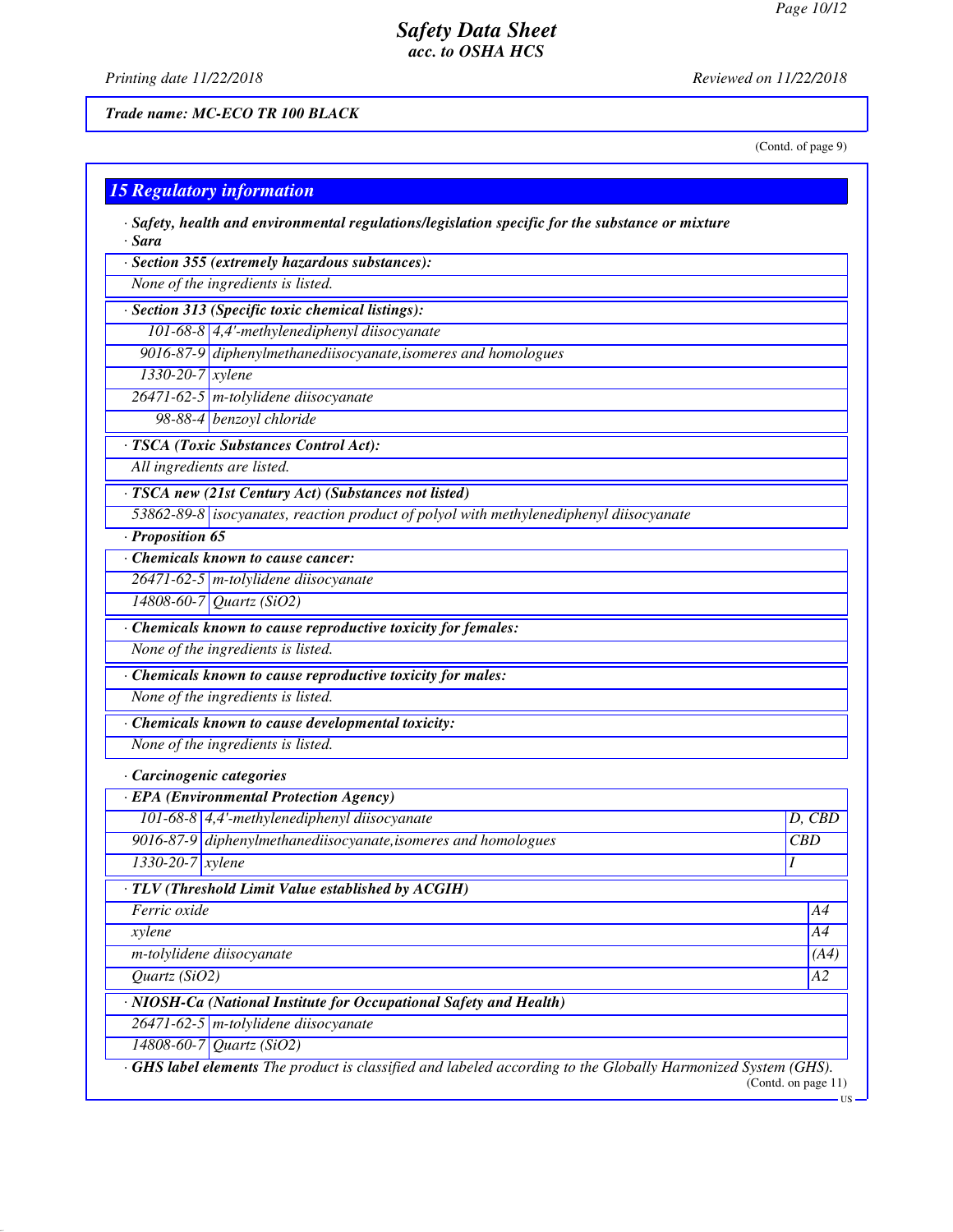*Printing date 11/22/2018 Reviewed on 11/22/2018*

*Trade name: MC-ECO TR 100 BLACK*

(Contd. of page 9)

US

| $\cdot$ Safety, health and environmental regulations/legislation specific for the substance or mixture<br>$\cdot$ Sara |                 |
|------------------------------------------------------------------------------------------------------------------------|-----------------|
| · Section 355 (extremely hazardous substances):                                                                        |                 |
| None of the ingredients is listed.                                                                                     |                 |
| · Section 313 (Specific toxic chemical listings):                                                                      |                 |
| 101-68-8 4,4'-methylenediphenyl diisocyanate                                                                           |                 |
| 9016-87-9 diphenylmethanediisocyanate, isomeres and homologues                                                         |                 |
| $1330-20-7$ xylene                                                                                                     |                 |
| 26471-62-5 m-tolylidene diisocyanate                                                                                   |                 |
| 98-88-4 benzoyl chloride                                                                                               |                 |
| · TSCA (Toxic Substances Control Act):                                                                                 |                 |
| All ingredients are listed.                                                                                            |                 |
| · TSCA new (21st Century Act) (Substances not listed)                                                                  |                 |
| 53862-89-8 isocyanates, reaction product of polyol with methylenediphenyl diisocyanate                                 |                 |
| · Proposition 65                                                                                                       |                 |
| Chemicals known to cause cancer:                                                                                       |                 |
| $26471 - 62 - 5$ m-tolylidene diisocyanate                                                                             |                 |
| 14808-60-7 Quartz (SiO2)                                                                                               |                 |
| · Chemicals known to cause reproductive toxicity for females:                                                          |                 |
| None of the ingredients is listed.                                                                                     |                 |
| $\overline{\cdot}$ Chemicals known to cause reproductive toxicity for males:                                           |                 |
| None of the ingredients is listed.                                                                                     |                 |
| · Chemicals known to cause developmental toxicity:                                                                     |                 |
| None of the ingredients is listed.                                                                                     |                 |
| · Carcinogenic categories                                                                                              |                 |
| · EPA (Environmental Protection Agency)                                                                                |                 |
| 101-68-8 4,4'-methylenediphenyl diisocyanate                                                                           | D, CBD          |
| 9016-87-9 diphenylmethanediisocyanate, isomeres and homologues                                                         | <b>CBD</b>      |
| 1330-20-7 xylene                                                                                                       | Ι               |
| · TLV (Threshold Limit Value established by ACGIH)                                                                     |                 |
| Ferric oxide                                                                                                           | A4              |
| xylene                                                                                                                 | A4              |
| m-tolylidene diisocyanate                                                                                              | (A4)            |
| Quartz $(SiO2)$                                                                                                        | $\overline{A2}$ |
| · NIOSH-Ca (National Institute for Occupational Safety and Health)                                                     |                 |
| 26471-62-5 m-tolylidene diisocyanate                                                                                   |                 |
| 14808-60-7 Quartz (SiO2)                                                                                               |                 |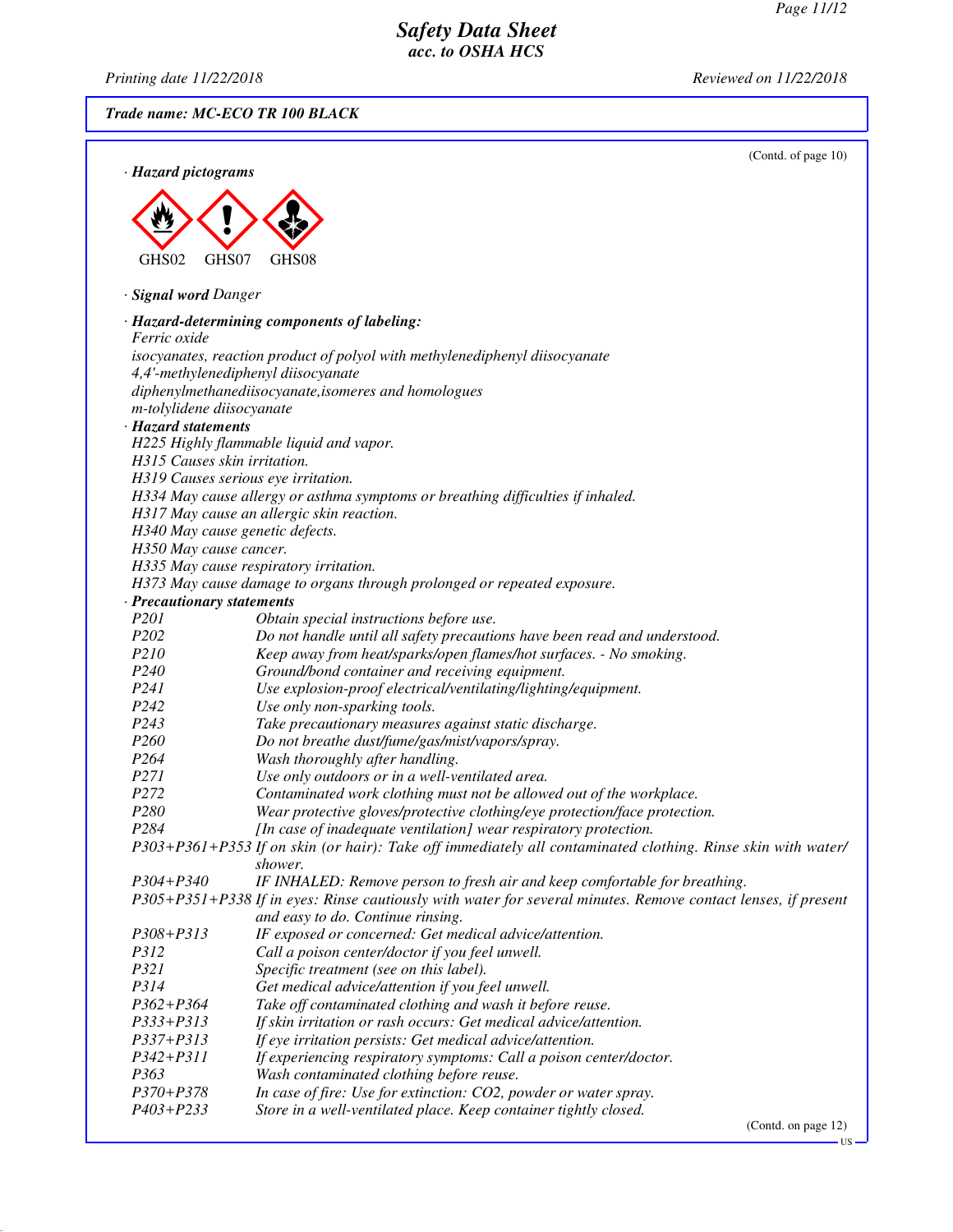*Printing date 11/22/2018 Reviewed on 11/22/2018*

*Trade name: MC-ECO TR 100 BLACK*

| · Hazard pictograms          | (Contd. of page 10)                                                                                                                                |
|------------------------------|----------------------------------------------------------------------------------------------------------------------------------------------------|
|                              |                                                                                                                                                    |
|                              |                                                                                                                                                    |
|                              |                                                                                                                                                    |
| GHS02<br>GHS07               | GHS08                                                                                                                                              |
| · Signal word Danger         |                                                                                                                                                    |
| <i>Ferric oxide</i>          | · Hazard-determining components of labeling:                                                                                                       |
|                              | isocyanates, reaction product of polyol with methylenediphenyl diisocyanate                                                                        |
|                              | 4,4'-methylenediphenyl diisocyanate                                                                                                                |
|                              | diphenylmethanediisocyanate, isomeres and homologues                                                                                               |
| m-tolylidene diisocyanate    |                                                                                                                                                    |
| · Hazard statements          |                                                                                                                                                    |
|                              | H225 Highly flammable liquid and vapor.                                                                                                            |
| H315 Causes skin irritation. |                                                                                                                                                    |
|                              | H319 Causes serious eye irritation.                                                                                                                |
|                              | H334 May cause allergy or asthma symptoms or breathing difficulties if inhaled.                                                                    |
|                              | H317 May cause an allergic skin reaction.                                                                                                          |
| H350 May cause cancer.       | H340 May cause genetic defects.                                                                                                                    |
|                              | H335 May cause respiratory irritation.                                                                                                             |
|                              | H373 May cause damage to organs through prolonged or repeated exposure.                                                                            |
| · Precautionary statements   |                                                                                                                                                    |
| P201                         | Obtain special instructions before use.                                                                                                            |
| P202                         | Do not handle until all safety precautions have been read and understood.                                                                          |
| P210                         | Keep away from heat/sparks/open flames/hot surfaces. - No smoking.                                                                                 |
| P <sub>240</sub>             | Ground/bond container and receiving equipment.                                                                                                     |
| P241                         | Use explosion-proof electrical/ventilating/lighting/equipment.                                                                                     |
| P242                         | Use only non-sparking tools.                                                                                                                       |
| P <sub>243</sub>             | Take precautionary measures against static discharge.                                                                                              |
| P <sub>260</sub>             | Do not breathe dust/fume/gas/mist/vapors/spray.                                                                                                    |
| P264                         | Wash thoroughly after handling.                                                                                                                    |
| P271                         | Use only outdoors or in a well-ventilated area.                                                                                                    |
| P272                         | Contaminated work clothing must not be allowed out of the workplace.                                                                               |
| P280                         | Wear protective gloves/protective clothing/eye protection/face protection.                                                                         |
| P284                         | [In case of inadequate ventilation] wear respiratory protection.                                                                                   |
|                              | P303+P361+P353 If on skin (or hair): Take off immediately all contaminated clothing. Rinse skin with water/<br>shower.                             |
| P304+P340                    | IF INHALED: Remove person to fresh air and keep comfortable for breathing.                                                                         |
|                              | P305+P351+P338 If in eyes: Rinse cautiously with water for several minutes. Remove contact lenses, if present<br>and easy to do. Continue rinsing. |
| P308+P313                    | IF exposed or concerned: Get medical advice/attention.                                                                                             |
| P312                         | Call a poison center/doctor if you feel unwell.                                                                                                    |
| P321                         | Specific treatment (see on this label).                                                                                                            |
| P314                         | Get medical advice/attention if you feel unwell.                                                                                                   |
| P362+P364                    | Take off contaminated clothing and wash it before reuse.                                                                                           |
| P333+P313                    | If skin irritation or rash occurs: Get medical advice/attention.                                                                                   |
| P337+P313                    | If eye irritation persists: Get medical advice/attention.                                                                                          |
| P342+P311                    | If experiencing respiratory symptoms: Call a poison center/doctor.                                                                                 |
| P363                         | Wash contaminated clothing before reuse.                                                                                                           |
| P370+P378                    | In case of fire: Use for extinction: CO2, powder or water spray.                                                                                   |
| P403+P233                    | Store in a well-ventilated place. Keep container tightly closed.                                                                                   |

(Contd. on page 12)

 $-US$